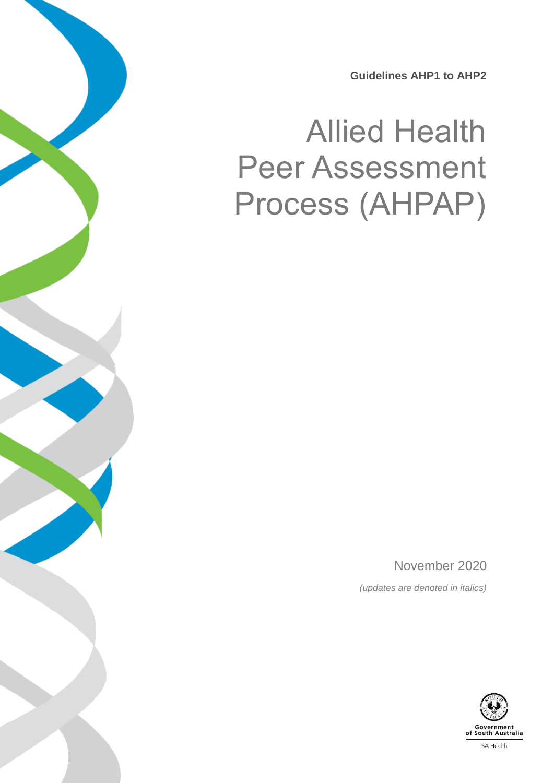**Guidelines AHP1 to AHP2**

# Allied Health Peer Assessment Process (AHPAP)

November 2020 *(updates are denoted in italics)*

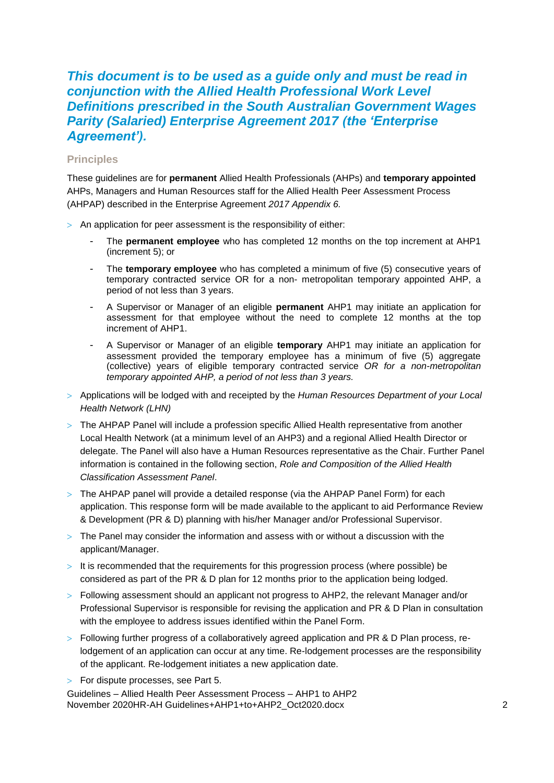# *This document is to be used as a guide only and must be read in conjunction with the Allied Health Professional Work Level Definitions prescribed in the South Australian Government Wages Parity (Salaried) Enterprise Agreement 2017 (the 'Enterprise Agreement').*

#### **Principles**

These guidelines are for **permanent** Allied Health Professionals (AHPs) and **temporary appointed**  AHPs, Managers and Human Resources staff for the Allied Health Peer Assessment Process (AHPAP) described in the Enterprise Agreement *2017 Appendix 6.*

- $>$  An application for peer assessment is the responsibility of either:
	- The **permanent employee** who has completed 12 months on the top increment at AHP1 (increment 5); or
	- The **temporary employee** who has completed a minimum of five (5) consecutive years of temporary contracted service OR for a non- metropolitan temporary appointed AHP, a period of not less than 3 years.
	- A Supervisor or Manager of an eligible **permanent** AHP1 may initiate an application for assessment for that employee without the need to complete 12 months at the top increment of AHP1.
	- A Supervisor or Manager of an eligible **temporary** AHP1 may initiate an application for assessment provided the temporary employee has a minimum of five (5) aggregate (collective) years of eligible temporary contracted service *OR for a non-metropolitan temporary appointed AHP, a period of not less than 3 years.*
- Applications will be lodged with and receipted by the *Human Resources Department of your Local Health Network (LHN)*
- $>$  The AHPAP Panel will include a profession specific Allied Health representative from another Local Health Network (at a minimum level of an AHP3) and a regional Allied Health Director or delegate. The Panel will also have a Human Resources representative as the Chair. Further Panel information is contained in the following section, *Role and Composition of the Allied Health Classification Assessment Panel*.
- $>$  The AHPAP panel will provide a detailed response (via the AHPAP Panel Form) for each application. This response form will be made available to the applicant to aid Performance Review & Development (PR & D) planning with his/her Manager and/or Professional Supervisor.
- $>$  The Panel may consider the information and assess with or without a discussion with the applicant/Manager.
- $>$  It is recommended that the requirements for this progression process (where possible) be considered as part of the PR & D plan for 12 months prior to the application being lodged.
- $>$  Following assessment should an applicant not progress to AHP2, the relevant Manager and/or Professional Supervisor is responsible for revising the application and PR & D Plan in consultation with the employee to address issues identified within the Panel Form.
- $>$  Following further progress of a collaboratively agreed application and PR & D Plan process, relodgement of an application can occur at any time. Re-lodgement processes are the responsibility of the applicant. Re-lodgement initiates a new application date.
- > For dispute processes, see Part 5.

Guidelines – Allied Health Peer Assessment Process – AHP1 to AHP2 November 2020HR-AH Guidelines+AHP1+to+AHP2\_Oct2020.docx 2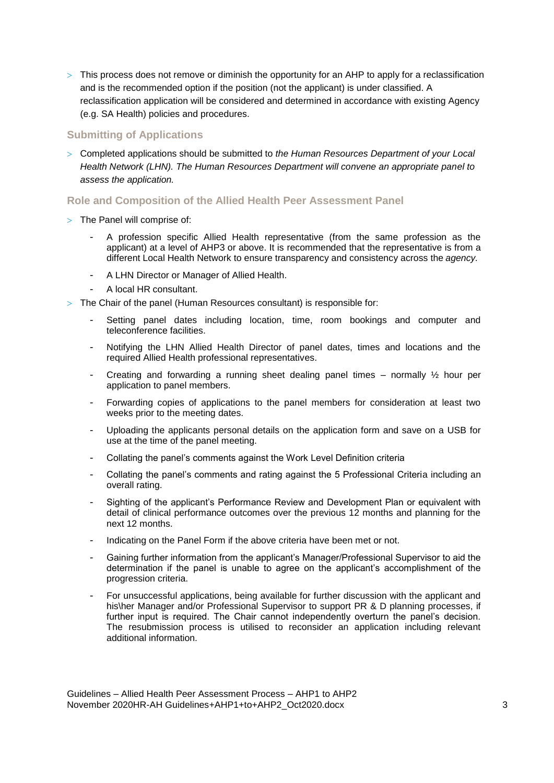$>$  This process does not remove or diminish the opportunity for an AHP to apply for a reclassification and is the recommended option if the position (not the applicant) is under classified. A reclassification application will be considered and determined in accordance with existing Agency (e.g. SA Health) policies and procedures.

## **Submitting of Applications**

 Completed applications should be submitted to *the Human Resources Department of your Local Health Network (LHN). The Human Resources Department will convene an appropriate panel to assess the application.*

#### **Role and Composition of the Allied Health Peer Assessment Panel**

- $>$  The Panel will comprise of:
	- A profession specific Allied Health representative (from the same profession as the applicant) at a level of AHP3 or above. It is recommended that the representative is from a different Local Health Network to ensure transparency and consistency across the *agency.*
	- A LHN Director or Manager of Allied Health.
	- A local HR consultant.
- The Chair of the panel (Human Resources consultant) is responsible for:
	- Setting panel dates including location, time, room bookings and computer and teleconference facilities.
	- Notifying the LHN Allied Health Director of panel dates, times and locations and the required Allied Health professional representatives.
	- Creating and forwarding a running sheet dealing panel times normally  $\frac{1}{2}$  hour per application to panel members.
	- Forwarding copies of applications to the panel members for consideration at least two weeks prior to the meeting dates.
	- Uploading the applicants personal details on the application form and save on a USB for use at the time of the panel meeting.
	- Collating the panel's comments against the Work Level Definition criteria
	- Collating the panel's comments and rating against the 5 Professional Criteria including an overall rating.
	- Sighting of the applicant's Performance Review and Development Plan or equivalent with detail of clinical performance outcomes over the previous 12 months and planning for the next 12 months.
	- Indicating on the Panel Form if the above criteria have been met or not.
	- Gaining further information from the applicant's Manager/Professional Supervisor to aid the determination if the panel is unable to agree on the applicant's accomplishment of the progression criteria.
	- For unsuccessful applications, being available for further discussion with the applicant and his\her Manager and/or Professional Supervisor to support PR & D planning processes, if further input is required. The Chair cannot independently overturn the panel's decision. The resubmission process is utilised to reconsider an application including relevant additional information.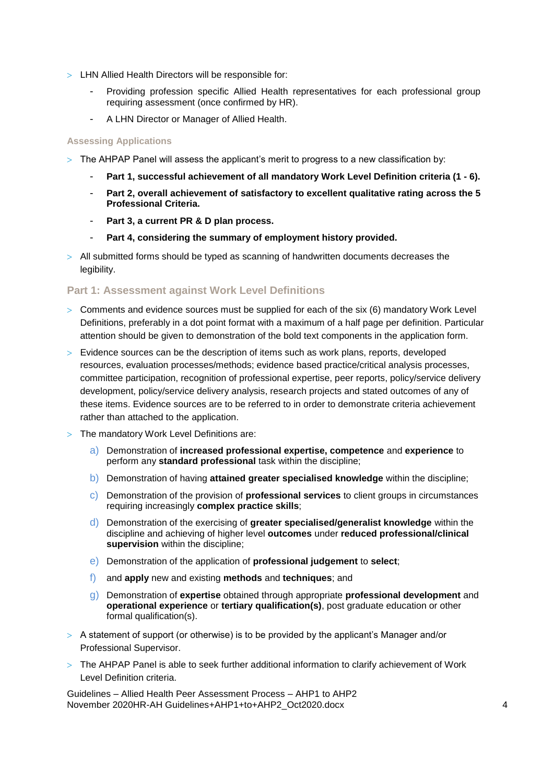- LHN Allied Health Directors will be responsible for:
	- Providing profession specific Allied Health representatives for each professional group requiring assessment (once confirmed by HR).
	- A LHN Director or Manager of Allied Health.

#### **Assessing Applications**

- $>$  The AHPAP Panel will assess the applicant's merit to progress to a new classification by:
	- **Part 1, successful achievement of all mandatory Work Level Definition criteria (1 - 6).**
	- **Part 2, overall achievement of satisfactory to excellent qualitative rating across the 5 Professional Criteria.**
	- Part 3. a current PR & D plan process.
	- **Part 4, considering the summary of employment history provided.**
- $>$  All submitted forms should be typed as scanning of handwritten documents decreases the legibility.

#### **Part 1: Assessment against Work Level Definitions**

- $>$  Comments and evidence sources must be supplied for each of the six  $(6)$  mandatory Work Level Definitions, preferably in a dot point format with a maximum of a half page per definition. Particular attention should be given to demonstration of the bold text components in the application form.
- $>$  Evidence sources can be the description of items such as work plans, reports, developed resources, evaluation processes/methods; evidence based practice/critical analysis processes, committee participation, recognition of professional expertise, peer reports, policy/service delivery development, policy/service delivery analysis, research projects and stated outcomes of any of these items. Evidence sources are to be referred to in order to demonstrate criteria achievement rather than attached to the application.
- The mandatory Work Level Definitions are:
	- a) Demonstration of **increased professional expertise, competence** and **experience** to perform any **standard professional** task within the discipline;
	- b) Demonstration of having **attained greater specialised knowledge** within the discipline;
	- c) Demonstration of the provision of **professional services** to client groups in circumstances requiring increasingly **complex practice skills**;
	- d) Demonstration of the exercising of **greater specialised/generalist knowledge** within the discipline and achieving of higher level **outcomes** under **reduced professional/clinical supervision** within the discipline;
	- e) Demonstration of the application of **professional judgement** to **select**;
	- f) and **apply** new and existing **methods** and **techniques**; and
	- g) Demonstration of **expertise** obtained through appropriate **professional development** and **operational experience** or **tertiary qualification(s)**, post graduate education or other formal qualification(s).
- $>$  A statement of support (or otherwise) is to be provided by the applicant's Manager and/or Professional Supervisor.
- $>$  The AHPAP Panel is able to seek further additional information to clarify achievement of Work Level Definition criteria.

Guidelines – Allied Health Peer Assessment Process – AHP1 to AHP2 November 2020HR-AH Guidelines+AHP1+to+AHP2\_Oct2020.docx 4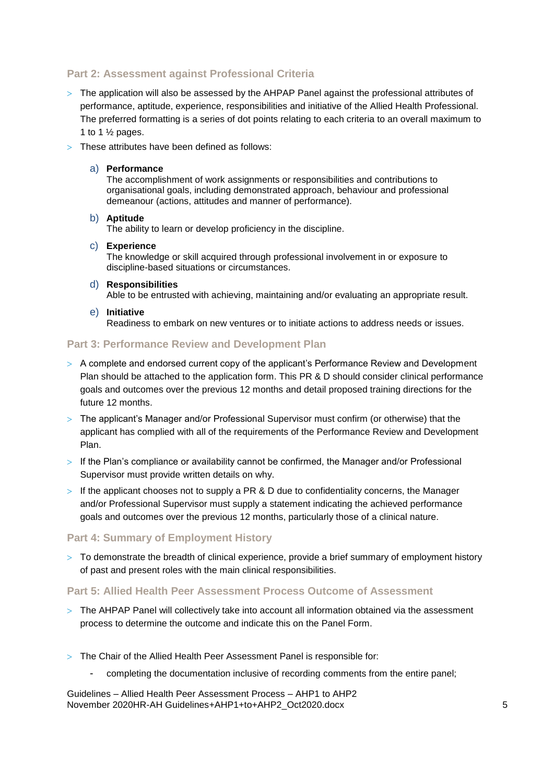# **Part 2: Assessment against Professional Criteria**

- $>$  The application will also be assessed by the AHPAP Panel against the professional attributes of performance, aptitude, experience, responsibilities and initiative of the Allied Health Professional. The preferred formatting is a series of dot points relating to each criteria to an overall maximum to 1 to 1  $\frac{1}{2}$  pages.
- > These attributes have been defined as follows:
	- a) **Performance**

The accomplishment of work assignments or responsibilities and contributions to organisational goals, including demonstrated approach, behaviour and professional demeanour (actions, attitudes and manner of performance).

#### b) **Aptitude**

The ability to learn or develop proficiency in the discipline.

c) **Experience**

The knowledge or skill acquired through professional involvement in or exposure to discipline-based situations or circumstances.

d) **Responsibilities**

Able to be entrusted with achieving, maintaining and/or evaluating an appropriate result.

e) **Initiative**

Readiness to embark on new ventures or to initiate actions to address needs or issues.

#### **Part 3: Performance Review and Development Plan**

- A complete and endorsed current copy of the applicant's Performance Review and Development Plan should be attached to the application form. This PR & D should consider clinical performance goals and outcomes over the previous 12 months and detail proposed training directions for the future 12 months.
- The applicant's Manager and/or Professional Supervisor must confirm (or otherwise) that the applicant has complied with all of the requirements of the Performance Review and Development Plan.
- $>$  If the Plan's compliance or availability cannot be confirmed, the Manager and/or Professional Supervisor must provide written details on why.
- $>$  If the applicant chooses not to supply a PR & D due to confidentiality concerns, the Manager and/or Professional Supervisor must supply a statement indicating the achieved performance goals and outcomes over the previous 12 months, particularly those of a clinical nature.

#### **Part 4: Summary of Employment History**

 $>$  To demonstrate the breadth of clinical experience, provide a brief summary of employment history of past and present roles with the main clinical responsibilities.

#### **Part 5: Allied Health Peer Assessment Process Outcome of Assessment**

- $>$  The AHPAP Panel will collectively take into account all information obtained via the assessment process to determine the outcome and indicate this on the Panel Form.
- The Chair of the Allied Health Peer Assessment Panel is responsible for:
	- completing the documentation inclusive of recording comments from the entire panel;

Guidelines – Allied Health Peer Assessment Process – AHP1 to AHP2 November 2020HR-AH Guidelines+AHP1+to+AHP2\_Oct2020.docx 5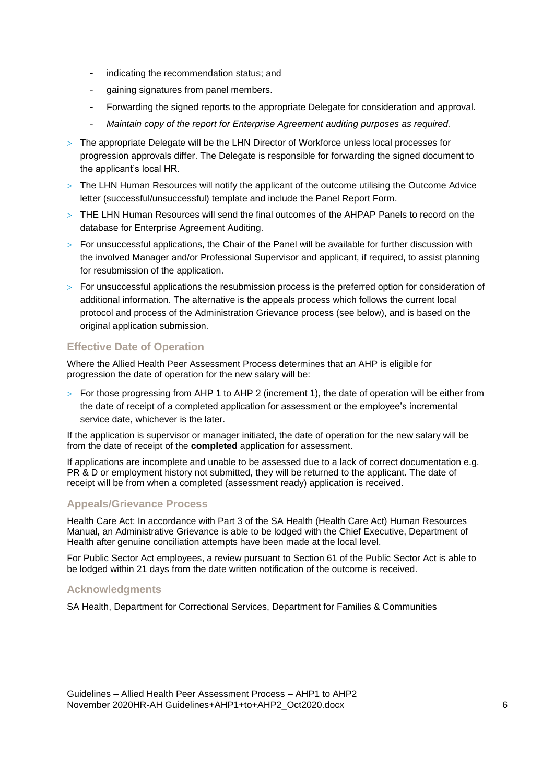- indicating the recommendation status; and
- gaining signatures from panel members.
- Forwarding the signed reports to the appropriate Delegate for consideration and approval.
- *Maintain copy of the report for Enterprise Agreement auditing purposes as required.*
- $>$  The appropriate Delegate will be the LHN Director of Workforce unless local processes for progression approvals differ. The Delegate is responsible for forwarding the signed document to the applicant's local HR.
- $>$  The LHN Human Resources will notify the applicant of the outcome utilising the Outcome Advice letter (successful/unsuccessful) template and include the Panel Report Form.
- THE LHN Human Resources will send the final outcomes of the AHPAP Panels to record on the database for Enterprise Agreement Auditing.
- $>$  For unsuccessful applications, the Chair of the Panel will be available for further discussion with the involved Manager and/or Professional Supervisor and applicant, if required, to assist planning for resubmission of the application.
- $>$  For unsuccessful applications the resubmission process is the preferred option for consideration of additional information. The alternative is the appeals process which follows the current local protocol and process of the Administration Grievance process (see below), and is based on the original application submission.

## **Effective Date of Operation**

Where the Allied Health Peer Assessment Process determines that an AHP is eligible for progression the date of operation for the new salary will be:

 $>$  For those progressing from AHP 1 to AHP 2 (increment 1), the date of operation will be either from the date of receipt of a completed application for assessment or the employee's incremental service date, whichever is the later.

If the application is supervisor or manager initiated, the date of operation for the new salary will be from the date of receipt of the **completed** application for assessment.

If applications are incomplete and unable to be assessed due to a lack of correct documentation e.g. PR & D or employment history not submitted, they will be returned to the applicant. The date of receipt will be from when a completed (assessment ready) application is received.

### **Appeals/Grievance Process**

Health Care Act: In accordance with Part 3 of the SA Health (Health Care Act) Human Resources Manual, an Administrative Grievance is able to be lodged with the Chief Executive, Department of Health after genuine conciliation attempts have been made at the local level.

For Public Sector Act employees, a review pursuant to Section 61 of the Public Sector Act is able to be lodged within 21 days from the date written notification of the outcome is received.

#### **Acknowledgments**

SA Health, Department for Correctional Services, Department for Families & Communities